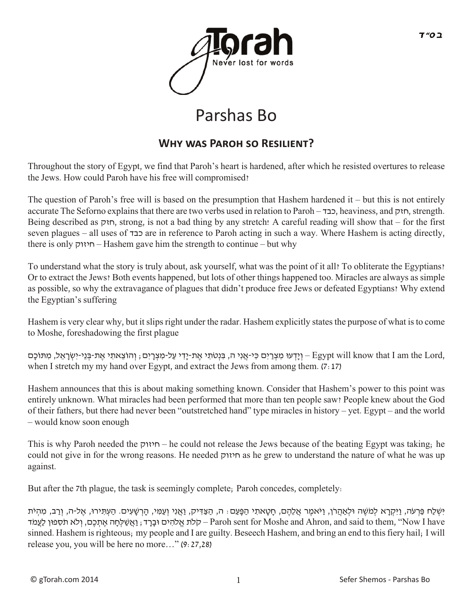

## Parshas Bo

## **WHY WAS PAROH SO RESILIENT?**

Throughout the story of Egypt, we find that Paroh's heart is hardened, after which he resisted overtures to release the Jews. How could Paroh have his free will compromised?

The question of Paroh's free will is based on the presumption that Hashem hardened it – but this is not entirely accurate The Seforno explains that there are two verbs used in relation to Paroh – כבד, heaviness, and חזק, strength. Being described as חזק, strong, is not a bad thing by any stretch! A careful reading will show that – for the first seven plagues – all uses of כבד are in reference to Paroh acting in such a way. Where Hashem is acting directly, there is only חיזוק – Hashem gave him the strength to continue – but why

To understand what the story is truly about, ask yourself, what was the point of it all? To obliterate the Egyptians? Or to extract the Jews? Both events happened, but lots of other things happened too. Miracles are always as simple as possible, so why the extravagance of plagues that didn't produce free Jews or defeated Egyptians? Why extend the Egyptian's suffering

Hashem is very clear why, but it slips right under the radar. Hashem explicitly states the purpose of what is to come to Moshe, foreshadowing the first plague

, בְּנִטֹתִי אֶת-יַדִּי עַל-מִצְרַיִם, וְהוֹצֵאתִי אֶת-בְּנֵי-יִשְׂרָאֲל, מִתּוֹכָם – Egypt will know that I am the Lord, when I stretch my my hand over Egypt, and extract the Jews from among them.  $(7:17)$ 

Hashem announces that this is about making something known. Consider that Hashem's power to this point was entirely unknown. What miracles had been performed that more than ten people saw? People knew about the God of their fathers, but there had never been "outstretched hand" type miracles in history – yet. Egypt – and the world – would know soon enough

This is why Paroh needed the חיזוק – he could not release the Jews because of the beating Egypt was taking; he could not give in for the wrong reasons. He needed חיזוק as he grew to understand the nature of what he was up against.

But after the 7th plague, the task is seemingly complete; Paroh concedes, completely:

ּיִׁשְ לַח ּפַ רְ עֹה, וַּיִקְ רָ א לְ מֹׁשֶ ה ּולְ אַהֲ רֹן, וַּיֹאמֶ ר אֲ לֵהֶ ם, חָ טָ אתִ י הַ ּפָ עַ ם: ה, הַ צַּ דִּ יק, וַאֲ נִי וְ עַ מִּ י, הָ רְ ׁשָ עִ ים. הַ עְ ּתִ ירּו, אֶ ל-ה, וְ רַ ב, מִ הְ יֹת לת אֱלֹחִים וּבָרַד; וַאֲשַׁלְחַה אֲתִכֶם, וְלֹא תֹסְפוּן לַעֲמֹד – Paroh sent for Moshe and Ahron, and said to them, ''Now I have sinned. Hashem is righteous; my people and I are guilty. Beseech Hashem, and bring an end to this fiery hail; I will release you, you will be here no more…" (9:27,28)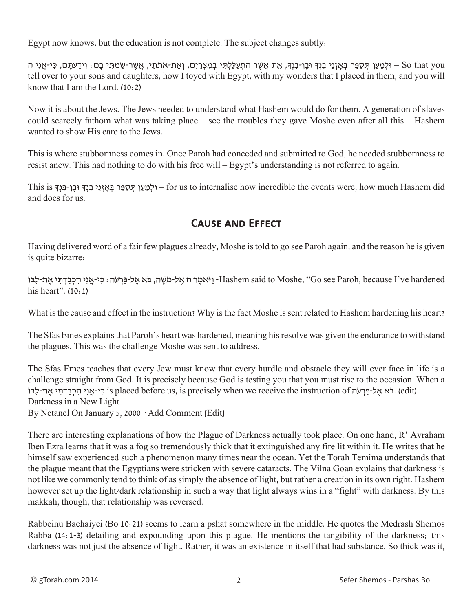Egypt now knows, but the education is not complete. The subject changes subtly:

So that you – וּלְמַעֵן תִּסָפֵר בְּאזְנֵי בִנָךְ וּבֵן-בִּנָךְ, אֶת אֲשֶׁר הִתְעַלָּתִי בִּמִצְרַיִם, וְאֵת-אֹתֹתַי, אֲשֶׁר-שַמְתִי בַם, וְידַעְתֵם, כִּי-אֲנִי ה tell over to your sons and daughters, how I toyed with Egypt, with my wonders that I placed in them, and you will know that I am the Lord. (10:2)

Now it is about the Jews. The Jews needed to understand what Hashem would do for them. A generation of slaves could scarcely fathom what was taking place – see the troubles they gave Moshe even after all this – Hashem wanted to show His care to the Jews.

This is where stubbornness comes in. Once Paroh had conceded and submitted to God, he needed stubbornness to resist anew. This had nothing to do with his free will – Egypt's understanding is not referred to again.

This is הלְמֵעֵן תִּסָפֵּר בְּאזְנֵי בִנְדְּ וּבֵן-בִּנְדָ J – for us to internalise how incredible the events were, how much Hashem did and does for us.

## **Cause and Effect**

Having delivered word of a fair few plagues already, Moshe is told to go see Paroh again, and the reason he is given is quite bizarre:

יֹאמֵר ה אֱל-מֹשֶׁה, בֹּא אֱל-פַּרְעֹה: כִּי-אֲנִי הִכְבַּדְתִּי אֶת-לִבּוֹ $H$ ashem said to Moshe, "Go see Paroh, because I've hardened his heart". (10:1)

What is the cause and effect in the instruction? Why is the fact Moshe is sent related to Hashem hardening his heart?

The Sfas Emes explains that Paroh's heart was hardened, meaning his resolve was given the endurance to withstand the plagues. This was the challenge Moshe was sent to address.

The Sfas Emes teaches that every Jew must know that every hurdle and obstacle they will ever face in life is a challenge straight from God. It is precisely because God is testing you that you must rise to the occasion. When a נֹא אֶל-פַּרְעֹה (edit). בֹּא אֱל-פַּרְעֹה is placed before us, is precisely when we receive the instruction of Darkness in a New Light

By Netanel On January 5, 2000 · Add Comment [Edit]

There are interesting explanations of how the Plague of Darkness actually took place. On one hand, R' Avraham Iben Ezra learns that it was a fog so tremendously thick that it extinguished any fire lit within it. He writes that he himself saw experienced such a phenomenon many times near the ocean. Yet the Torah Temima understands that the plague meant that the Egyptians were stricken with severe cataracts. The Vilna Goan explains that darkness is not like we commonly tend to think of as simply the absence of light, but rather a creation in its own right. Hashem however set up the light/dark relationship in such a way that light always wins in a "fight" with darkness. By this makkah, though, that relationship was reversed.

Rabbeinu Bachaiyei (Bo 10:21) seems to learn a pshat somewhere in the middle. He quotes the Medrash Shemos Rabba (14:1-3) detailing and expounding upon this plague. He mentions the tangibility of the darkness; this darkness was not just the absence of light. Rather, it was an existence in itself that had substance. So thick was it,